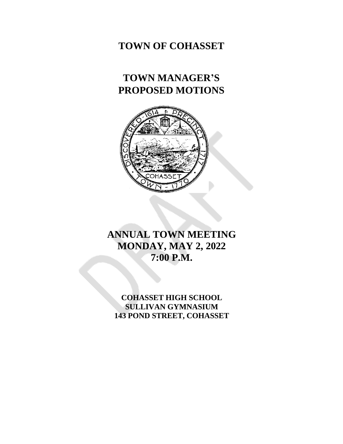## **TOWN OF COHASSET**

# **TOWN MANAGER'S PROPOSED MOTIONS**



# **ANNUAL TOWN MEETING MONDAY, MAY 2, 2022 7:00 P.M.**

**COHASSET HIGH SCHOOL SULLIVAN GYMNASIUM 143 POND STREET, COHASSET**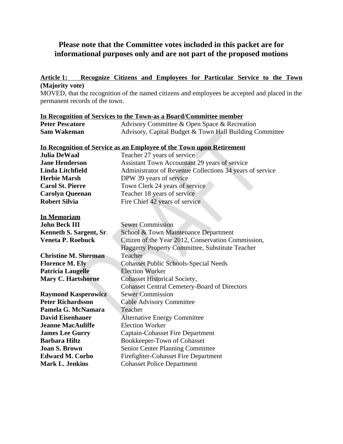## **Please note that the Committee votes included in this packet are for informational purposes only and are not part of the proposed motions**

### **Article 1: Recognize Citizens and Employees for Particular Service to the Town (Majority vote)**

MOVED, that the recognition of the named citizens and employees be accepted and placed in the permanent records of the town.

| In Recognition of Services to the Town-as a Board/Committee member |                                                         |  |
|--------------------------------------------------------------------|---------------------------------------------------------|--|
| <b>Peter Pescatore</b>                                             | Advisory Committee & Open Space & Recreation            |  |
| Sam Wakeman                                                        | Advisory, Capital Budget & Town Hall Building Committee |  |

## **In Recognition of Service as an Employee of the Town upon Retirement**

| <b>Julia DeWaal</b>     | Teacher 27 years of service                              |  |
|-------------------------|----------------------------------------------------------|--|
| <b>Jane Henderson</b>   | Assistant Town Accountant 29 years of service            |  |
| Linda Litchfield        | Administrator of Revenue Collections 34 years of service |  |
| <b>Herbie Marsh</b>     | DPW 39 years of service                                  |  |
| <b>Carol St. Pierre</b> | Town Clerk 24 years of service                           |  |
| <b>Carolyn Queenan</b>  | Teacher 18 years of service                              |  |
| <b>Robert Silvia</b>    | Fire Chief 42 years of service                           |  |
|                         |                                                          |  |

| <b>In Memoriam</b>          |                                                        |  |
|-----------------------------|--------------------------------------------------------|--|
| <b>John Beck III</b>        | <b>Sewer Commission</b>                                |  |
| Kenneth S. Sargent, Sr.     | School & Town Maintenance Department                   |  |
| <b>Veneta P. Roebuck</b>    | Citizen of the Year 2012, Conservation Commission,     |  |
|                             | <b>Haggerty Property Committee, Substitute Teacher</b> |  |
| <b>Christine M. Sherman</b> | Teacher                                                |  |
| <b>Florence M. Ely</b>      | <b>Cohasset Public Schools-Special Needs</b>           |  |
| <b>Patricia Laugelle</b>    | <b>Election Worker</b>                                 |  |
| <b>Mary C. Hartshorne</b>   | <b>Cohasset Historical Society,</b>                    |  |
|                             | <b>Cohasset Central Cemetery-Board of Directors</b>    |  |
| <b>Raymond Kasperowicz</b>  | <b>Sewer Commission</b>                                |  |
| <b>Peter Richardsson</b>    | <b>Cable Advisory Committee</b>                        |  |
| Pamela G. McNamara          | Teacher                                                |  |
| <b>David Eisenhauer</b>     | <b>Alternative Energy Committee</b>                    |  |
| <b>Jeanne MacAuliffe</b>    | <b>Election Worker</b>                                 |  |
| <b>James Lee Gurry</b>      | Captain-Cohasset Fire Department                       |  |
| <b>Barbara Hiltz</b>        | Bookkeeper-Town of Cohasset                            |  |
| <b>Joan S. Brown</b>        | <b>Senior Center Planning Committee</b>                |  |
| <b>Edward M. Corbo</b>      | Firefighter-Cohasset Fire Department                   |  |
| <b>Mark L. Jenkins</b>      | <b>Cohasset Police Department</b>                      |  |
|                             |                                                        |  |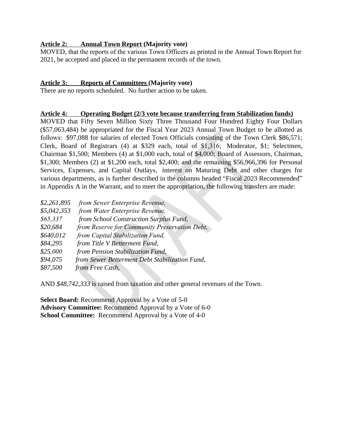## **Article 2: Annual Town Report (Majority vote)**

MOVED, that the reports of the various Town Officers as printed in the Annual Town Report for 2021, be accepted and placed in the permanent records of the town.

## **Article 3: Reports of Committees (Majority vote)**

There are no reports scheduled. No further action to be taken.

#### **Article 4: Operating Budget (2/3 vote because transferring from Stabilization funds)**

MOVED that Fifty Seven Million Sixty Three Thousand Four Hundred Eighty Four Dollars (\$57,063,484) be appropriated for the Fiscal Year 2023 Annual Town Budget to be allotted as follows: \$97,088 for salaries of elected Town Officials consisting of the Town Clerk \$86,571; Clerk, Board of Registrars (4) at \$329 each, total of \$1,316; Moderator, \$1; Selectmen, Chairman \$1,500; Members (4) at \$1,000 each, total of \$4,000; Board of Assessors, Chairman, \$1,300; Members (2) at \$1,200 each, total \$2,400; and the remaining \$56,966,396 for Personal Services, Expenses, and Capital Outlays, interest on Maturing Debt and other charges for various departments, as is further described in the columns headed "Fiscal 2023 Recommended" in Appendix A in the Warrant, and to meet the appropriation, the following transfers are made:

| \$2,261,895 | from Sewer Enterprise Revenue,                 |
|-------------|------------------------------------------------|
| \$5,042,353 | from Water Enterprise Revenue,                 |
| \$65,337    | from School Construction Surplus Fund,         |
| \$20,684    | from Reserve for Community Preservation Debt,  |
| \$640,012   | from Capital Stabilization Fund,               |
| \$84,295    | from Title V Betterment Fund,                  |
| \$25,000    | from Pension Stabilization Fund,               |
| \$94,075    | from Sewer Betterment Debt Stabilization Fund, |
| \$87,500    | from Free Cash,                                |

AND *\$48,742,333* is raised from taxation and other general revenues of the Town.

**Select Board:** Recommend Approval by a Vote of 5-0 **Advisory Committee:** Recommend Approval by a Vote of 6-0 **School Committee:** Recommend Approval by a Vote of 4-0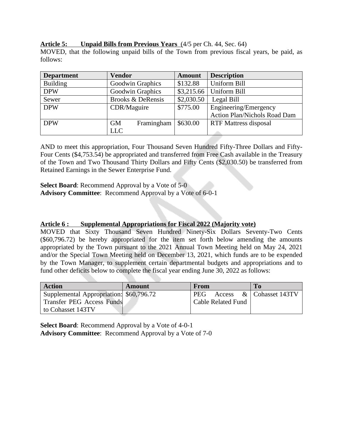#### **Article 5: Unpaid Bills from Previous Years** (4/5 per Ch. 44, Sec. 64)

MOVED, that the following unpaid bills of the Town from previous fiscal years, be paid, as follows:

| <b>Department</b> | <b>Vendor</b>           | <b>Amount</b> | <b>Description</b>                  |
|-------------------|-------------------------|---------------|-------------------------------------|
| <b>Building</b>   | Goodwin Graphics        | \$132.88      | Uniform Bill                        |
| <b>DPW</b>        | Goodwin Graphics        | \$3,215.66    | <b>Uniform Bill</b>                 |
| Sewer             | Brooks & DeRensis       | \$2,030.50    | Legal Bill                          |
| <b>DPW</b>        | CDR/Maguire             | \$775.00      | Engineering/Emergency               |
|                   |                         |               | <b>Action Plan/Nichols Road Dam</b> |
| <b>DPW</b>        | Framingham<br><b>GM</b> | \$630.00      | <b>RTF Mattress disposal</b>        |
|                   | <b>LLC</b>              |               |                                     |

AND to meet this appropriation, Four Thousand Seven Hundred Fifty-Three Dollars and Fifty-Four Cents (\$4,753.54) be appropriated and transferred from Free Cash available in the Treasury of the Town and Two Thousand Thirty Dollars and Fifty Cents (\$2,030.50) be transferred from Retained Earnings in the Sewer Enterprise Fund.

**Select Board**: Recommend Approval by a Vote of 5-0 **Advisory Committee**: Recommend Approval by a Vote of 6-0-1

## **Article 6 : Supplemental Appropriations for Fiscal 2022 (Majority vote)**

MOVED that Sixty Thousand Seven Hundred Ninety-Six Dollars Seventy-Two Cents (\$60,796.72) be hereby appropriated for the item set forth below amending the amounts appropriated by the Town pursuant to the 2021 Annual Town Meeting held on May 24, 2021 and/or the Special Town Meeting held on December 13, 2021, which funds are to be expended by the Town Manager, to supplement certain departmental budgets and appropriations and to fund other deficits below to complete the fiscal year ending June 30, 2022 as follows:

| <b>Action</b>                           | Amount | From               | T <sub>0</sub>          |
|-----------------------------------------|--------|--------------------|-------------------------|
| Supplemental Appropriation: \$60,796.72 |        | PEG                | Access & Cohasset 143TV |
| <b>Transfer PEG Access Funds</b>        |        | Cable Related Fund |                         |
| to Cohasset 143TV                       |        |                    |                         |

**Select Board**: Recommend Approval by a Vote of 4-0-1 **Advisory Committee**: Recommend Approval by a Vote of 7-0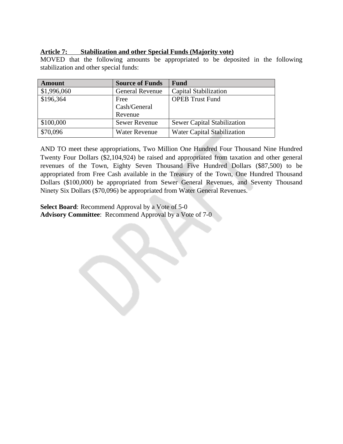## **Article 7: Stabilization and other Special Funds (Majority vote)**

MOVED that the following amounts be appropriated to be deposited in the following stabilization and other special funds:

| <b>Amount</b> | <b>Source of Funds</b> | <b>Fund</b>                        |
|---------------|------------------------|------------------------------------|
| \$1,996,060   | <b>General Revenue</b> | Capital Stabilization              |
| \$196,364     | Free                   | <b>OPEB Trust Fund</b>             |
|               | Cash/General           |                                    |
|               | Revenue                |                                    |
| \$100,000     | <b>Sewer Revenue</b>   | <b>Sewer Capital Stabilization</b> |
| \$70,096      | <b>Water Revenue</b>   | <b>Water Capital Stabilization</b> |

AND TO meet these appropriations, Two Million One Hundred Four Thousand Nine Hundred Twenty Four Dollars (\$2,104,924) be raised and appropriated from taxation and other general revenues of the Town, Eighty Seven Thousand Five Hundred Dollars (\$87,500) to be appropriated from Free Cash available in the Treasury of the Town, One Hundred Thousand Dollars (\$100,000) be appropriated from Sewer General Revenues, and Seventy Thousand Ninety Six Dollars (\$70,096) be appropriated from Water General Revenues.

**Select Board**: Recommend Approval by a Vote of 5-0 **Advisory Committee**: Recommend Approval by a Vote of 7-0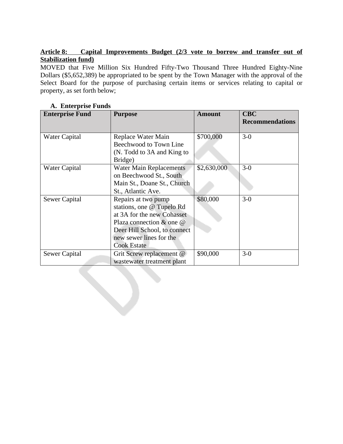## **Article 8: Capital Improvements Budget (2/3 vote to borrow and transfer out of Stabilization fund)**

MOVED that Five Million Six Hundred Fifty-Two Thousand Three Hundred Eighty-Nine Dollars (\$5,652,389) be appropriated to be spent by the Town Manager with the approval of the Select Board for the purpose of purchasing certain items or services relating to capital or property, as set forth below;

| <b>Enterprise Fund</b> | <b>Purpose</b>                                                                                                                                                                                    | <b>Amount</b> | <b>CBC</b><br><b>Recommendations</b> |
|------------------------|---------------------------------------------------------------------------------------------------------------------------------------------------------------------------------------------------|---------------|--------------------------------------|
| Water Capital          | Replace Water Main<br>Beechwood to Town Line<br>(N. Todd to 3A and King to                                                                                                                        | \$700,000     | $3-0$                                |
| <b>Water Capital</b>   | Bridge)<br><b>Water Main Replacements</b><br>on Beechwood St., South<br>Main St., Doane St., Church<br>St., Atlantic Ave.                                                                         | \$2,630,000   | $3-0$                                |
| Sewer Capital          | Repairs at two pump<br>stations, one @ Tupelo Rd<br>at 3A for the new Cohasset<br>Plaza connection $\&$ one $\&$<br>Deer Hill School, to connect<br>new sewer lines for the<br><b>Cook Estate</b> | \$80,000      | $3-0$                                |
| Sewer Capital          | Grit Screw replacement @<br>wastewater treatment plant                                                                                                                                            | \$90,000      | $3-0$                                |

## **A. Enterprise Funds**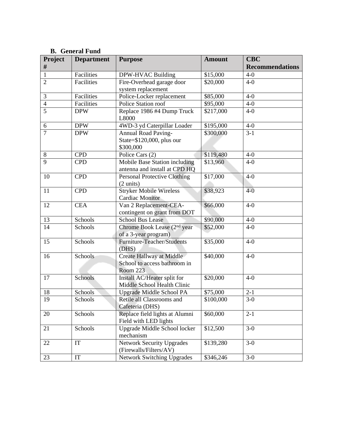| υ.<br>Project  | - Otheral Fullu<br><b>Department</b> | <b>Purpose</b>                                                                   | <b>Amount</b> | <b>CBC</b>             |
|----------------|--------------------------------------|----------------------------------------------------------------------------------|---------------|------------------------|
| $\#$           |                                      |                                                                                  |               | <b>Recommendations</b> |
| $\mathbf{1}$   | Facilities                           | DPW-HVAC Building                                                                | \$15,000      | $4-0$                  |
| $\overline{2}$ | <b>Facilities</b>                    | Fire-Overhead garage door                                                        | \$20,000      | $4-0$                  |
|                |                                      | system replacement                                                               |               |                        |
| 3              | Facilities                           | Police-Locker replacement                                                        | \$85,000      | $4-0$                  |
| $\overline{4}$ | Facilities                           | Police Station roof                                                              | \$95,000      | $4-0$                  |
| $\overline{5}$ | <b>DPW</b>                           | Replace 1986 #4 Dump Truck<br>L8000                                              | \$217,000     | $4-0$                  |
| 6              | <b>DPW</b>                           | 4WD-3 yd Caterpillar Loader                                                      | \$195,000     | $4-0$                  |
| $\overline{7}$ | <b>DPW</b>                           | <b>Annual Road Paving-</b><br>State=\$120,000, plus our                          | \$300,000     | $\overline{3} - 1$     |
|                |                                      | \$300,000                                                                        |               |                        |
| $8\,$          | <b>CPD</b>                           | Police Cars (2)                                                                  | \$119,480     | $4-0$                  |
| $\overline{9}$ | <b>CPD</b>                           | <b>Mobile Base Station including</b>                                             | \$13,960      | $4-0$                  |
|                |                                      | antenna and install at CPD HQ                                                    |               |                        |
| 10             | <b>CPD</b>                           | <b>Personal Protective Clothing</b>                                              | \$17,000      | $4-0$                  |
|                |                                      | $(2 \text{ units})$                                                              |               |                        |
| 11             | <b>CPD</b>                           | <b>Stryker Mobile Wireless</b>                                                   | \$38,923      | $4-0$                  |
|                |                                      | <b>Cardiac Monitor</b>                                                           |               |                        |
| 12             | <b>CEA</b>                           | Van 2 Replacement-CEA-                                                           | \$66,000      | $4-0$                  |
|                |                                      | contingent on grant from DOT                                                     |               |                        |
| 13             | Schools                              | <b>School Bus Lease</b>                                                          | \$90,000      | $4-0$                  |
| 14             | Schools                              | Chrome Book Lease (2 <sup>nd</sup> year<br>\$52,000<br>of a 3-year program)      |               | $4-0$                  |
| 15             | Schools                              | Furniture-Teacher/Students                                                       | \$35,000      | $4-0$                  |
|                |                                      | (DHS)                                                                            |               |                        |
| 16             | Schools                              | Create Hallway at Middle                                                         | \$40,000      | $4-0$                  |
|                |                                      | School to access bathroom in                                                     |               |                        |
|                |                                      | Room 223                                                                         |               | $4-0$                  |
| 17             | Schools                              | Install AC/Heater split for<br>Middle School Health Clinic                       | \$20,000      |                        |
| 18             | Schools                              | Upgrade Middle School PA                                                         | \$75,000      | $2 - 1$                |
| 19             | Schools                              | Retile all Classrooms and<br>Cafeteria (DHS)                                     | \$100,000     | $3-0$                  |
| 20             | Schools                              | Replace field lights at Alumni<br>\$60,000<br>$2 - 1$                            |               |                        |
|                |                                      | Field with LED lights                                                            |               |                        |
| 21             | Schools                              | Upgrade Middle School locker<br>mechanism                                        | \$12,500      | $3-0$                  |
| 22             | IT                                   | <b>Network Security Upgrades</b><br>\$139,280<br>$3-0$<br>(Firewalls/Filters/AV) |               |                        |
| 23             | $\mathop{\mathrm{IT}}$               | <b>Network Switching Upgrades</b>                                                | \$346,246     | $3-0$                  |

## **B. General Fund**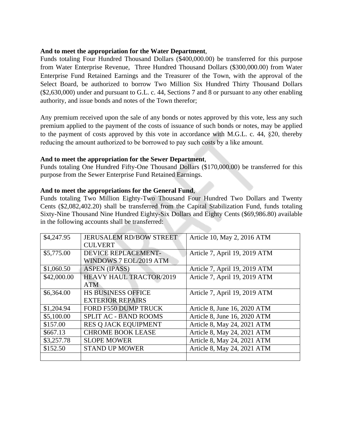#### **And to meet the appropriation for the Water Department**,

Funds totaling Four Hundred Thousand Dollars (\$400,000.00) be transferred for this purpose from Water Enterprise Revenue, Three Hundred Thousand Dollars (\$300,000.00) from Water Enterprise Fund Retained Earnings and the Treasurer of the Town, with the approval of the Select Board, be authorized to borrow Two Million Six Hundred Thirty Thousand Dollars (\$2,630,000) under and pursuant to G.L. c. 44, Sections 7 and 8 or pursuant to any other enabling authority, and issue bonds and notes of the Town therefor;

Any premium received upon the sale of any bonds or notes approved by this vote, less any such premium applied to the payment of the costs of issuance of such bonds or notes, may be applied to the payment of costs approved by this vote in accordance with M.G.L. c. 44, §20, thereby reducing the amount authorized to be borrowed to pay such costs by a like amount.

#### **And to meet the appropriation for the Sewer Department**,

Funds totaling One Hundred Fifty-One Thousand Dollars (\$170,000.00) be transferred for this purpose from the Sewer Enterprise Fund Retained Earnings.

#### **And to meet the appropriations for the General Fund**,

Funds totaling Two Million Eighty-Two Thousand Four Hundred Two Dollars and Twenty Cents (\$2,082,402.20) shall be transferred from the Capital Stabilization Fund, funds totaling Sixty-Nine Thousand Nine Hundred Eighty-Six Dollars and Eighty Cents (\$69,986.80) available in the following accounts shall be transferred:

| \$4,247.95  | <b>JERUSALEM RD/BOW STREET</b> | Article 10, May 2, 2016 ATM   |
|-------------|--------------------------------|-------------------------------|
|             | <b>CULVERT</b>                 |                               |
| \$5,775.00  | <b>DEVICE REPLACEMENT-</b>     | Article 7, April 19, 2019 ATM |
|             | WINDOWS 7 EOL/2019 ATM         |                               |
| \$1,060.50  | <b>ASPEN (IPASS)</b>           | Article 7, April 19, 2019 ATM |
| \$42,000.00 | <b>HEAVY HAUL TRACTOR/2019</b> | Article 7, April 19, 2019 ATM |
|             | <b>ATM</b>                     |                               |
| \$6,364.00  | <b>HS BUSINESS OFFICE</b>      | Article 7, April 19, 2019 ATM |
|             | <b>EXTERIOR REPAIRS</b>        |                               |
| \$1,204.94  | <b>FORD F550 DUMP TRUCK</b>    | Article 8, June 16, 2020 ATM  |
| \$5,100.00  | <b>SPLIT AC - BAND ROOMS</b>   | Article 8, June 16, 2020 ATM  |
| \$157.00    | RES Q JACK EQUIPMENT           | Article 8, May 24, 2021 ATM   |
| \$667.13    | <b>CHROME BOOK LEASE</b>       | Article 8, May 24, 2021 ATM   |
| \$3,257.78  | <b>SLOPE MOWER</b>             | Article 8, May 24, 2021 ATM   |
| \$152.50    | <b>STAND UP MOWER</b>          | Article 8, May 24, 2021 ATM   |
|             |                                |                               |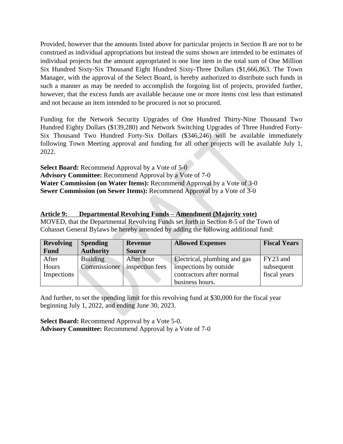Provided, however that the amounts listed above for particular projects in Section B are not to be construed as individual appropriations but instead the sums shown are intended to be estimates of individual projects but the amount appropriated is one line item in the total sum of One Million Six Hundred Sixty-Six Thousand Eight Hundred Sixty-Three Dollars (\$1,666,863. The Town Manager, with the approval of the Select Board, is hereby authorized to distribute such funds in such a manner as may be needed to accomplish the forgoing list of projects, provided further, however, that the excess funds are available because one or more items cost less than estimated and not because an item intended to be procured is not so procured.

Funding for the Network Security Upgrades of One Hundred Thirty-Nine Thousand Two Hundred Eighty Dollars (\$139,280) and Network Switching Upgrades of Three Hundred Forty-Six Thousand Two Hundred Forty-Six Dollars (\$346,246) will be available immediately following Town Meeting approval and funding for all other projects will be available July 1, 2022.

**Select Board:** Recommend Approval by a Vote of 5-0 **Advisory Committee:** Recommend Approval by a Vote of 7-0 **Water Commission (on Water Items):** Recommend Approval by a Vote of 3-0 **Sewer Commission (on Sewer Items):** Recommend Approval by a Vote of 3-0

## **Article 9: Departmental Revolving Funds – Amendment (Majority vote)**

MOVED, that the Departmental Revolving Funds set forth in Section 8-5 of the Town of Cohasset General Bylaws be hereby amended by adding the following additional fund:

| <b>Revolving</b> | <b>Spending</b>  | <b>Revenue</b>  | <b>Allowed Expenses</b>      | <b>Fiscal Years</b> |
|------------------|------------------|-----------------|------------------------------|---------------------|
| <b>Fund</b>      | <b>Authority</b> | <b>Source</b>   |                              |                     |
| After            | <b>Building</b>  | After hour      | Electrical, plumbing and gas | FY23 and            |
| Hours            | Commissioner     | inspection fees | inspections by outside       | subsequent          |
| Inspections      |                  |                 | contractors after normal     | fiscal years        |
|                  |                  |                 | business hours.              |                     |

And further, to set the spending limit for this revolving fund at \$30,000 for the fiscal year beginning July 1, 2022, and ending June 30, 2023.

**Select Board:** Recommend Approval by a Vote 5-0. **Advisory Committee:** Recommend Approval by a Vote of 7-0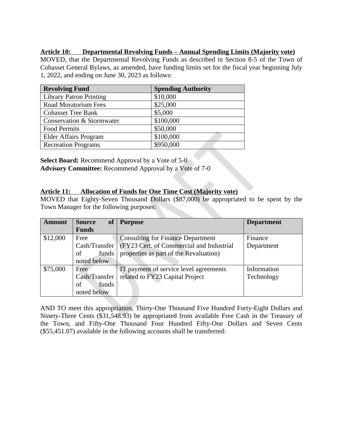### **Article 10: Departmental Revolving Funds – Annual Spending Limits (Majority vote)**

MOVED, that the Departmental Revolving Funds as described in Section 8-5 of the Town of Cohasset General Bylaws, as amended, have funding limits set for the fiscal year beginning July 1, 2022, and ending on June 30, 2023 as follows:

| <b>Revolving Fund</b>          | <b>Spending Authority</b> |
|--------------------------------|---------------------------|
| <b>Library Patron Printing</b> | \$10,000                  |
| <b>Road Moratorium Fees</b>    | \$25,000                  |
| <b>Cohasset Tree Bank</b>      | \$5,000                   |
| Conservation & Stormwater      | \$100,000                 |
| <b>Food Permits</b>            | \$50,000                  |
| Elder Affairs Program          | \$100,000                 |
| <b>Recreation Programs</b>     | \$950,000                 |

**Select Board:** Recommend Approval by a Vote of 5-0 **Advisory Committee:** Recommend Approval by a Vote of 7-0

#### **Article 11: Allocation of Funds for One Time Cost (Majority vote)**

MOVED that Eighty-Seven Thousand Dollars (\$87,000) be appropriated to be spent by the Town Manager for the following purposes:

| <b>Amount</b> | <b>of</b><br><b>Source</b> | <b>Purpose</b>                           | <b>Department</b> |
|---------------|----------------------------|------------------------------------------|-------------------|
|               | <b>Funds</b>               |                                          |                   |
| \$12,000      | Free                       | <b>Consulting for Finance Department</b> | Finance           |
|               | Cash/Transfer              | (FY23 Cert. of Commercial and Industrial | Department        |
|               | of<br>funds                | properties as part of the Revaluation)   |                   |
|               | noted below                |                                          |                   |
| \$75,000      | Free                       | IT payment of service level agreements   | Information       |
|               | Cash/Transfer              | related to FY23 Capital Project          | Technology        |
|               | of<br>funds                |                                          |                   |
|               | noted below                |                                          |                   |

AND TO meet this appropriation, Thirty-One Thousand Five Hundred Forty-Eight Dollars and Ninety-Three Cents (\$31,548.93) be appropriated from available Free Cash in the Treasury of the Town, and Fifty-One Thousand Four Hundred Fifty-One Dollars and Seven Cents (\$55,451.07) available in the following accounts shall be transferred: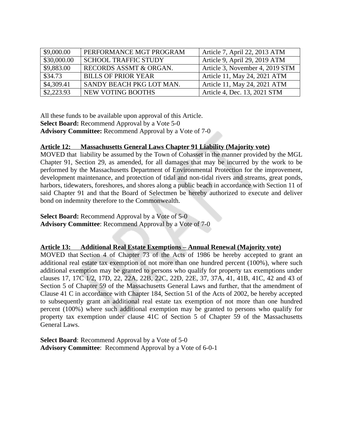| \$9,000.00  | PERFORMANCE MGT PROGRAM     | Article 7, April 22, 2013 ATM   |
|-------------|-----------------------------|---------------------------------|
| \$30,000.00 | <b>SCHOOL TRAFFIC STUDY</b> | Article 9, April 29, 2019 ATM   |
| \$9,883.00  | RECORDS ASSMT & ORGAN.      | Article 3, November 4, 2019 STM |
| \$34.73     | <b>BILLS OF PRIOR YEAR</b>  | Article 11, May 24, 2021 ATM    |
| \$4,309.41  | SANDY BEACH PKG LOT MAN.    | Article 11, May 24, 2021 ATM    |
| \$2,223.93  | NEW VOTING BOOTHS           | Article 4, Dec. 13, 2021 STM    |

All these funds to be available upon approval of this Article. **Select Board:** Recommend Approval by a Vote 5-0 **Advisory Committee:** Recommend Approval by a Vote of 7-0

#### **Article 12: Massachusetts General Laws Chapter 91 Liability (Majority vote)**

MOVED that liability be assumed by the Town of Cohasset in the manner provided by the MGL Chapter 91, Section 29, as amended, for all damages that may be incurred by the work to be performed by the Massachusetts Department of Environmental Protection for the improvement, development maintenance, and protection of tidal and non-tidal rivers and streams, great ponds, harbors, tidewaters, foreshores, and shores along a public beach in accordance with Section 11 of said Chapter 91 and that the Board of Selectmen be hereby authorized to execute and deliver bond on indemnity therefore to the Commonwealth.

**Select Board:** Recommend Approval by a Vote of 5-0 **Advisory Committee**: Recommend Approval by a Vote of 7-0

#### **Article 13: Additional Real Estate Exemptions – Annual Renewal (Majority vote)**

MOVED that Section 4 of Chapter 73 of the Acts of 1986 be hereby accepted to grant an additional real estate tax exemption of not more than one hundred percent (100%), where such additional exemption may be granted to persons who qualify for property tax exemptions under clauses 17, 17C 1/2, 17D, 22, 22A, 22B, 22C, 22D, 22E, 37, 37A, 41, 41B, 41C, 42 and 43 of Section 5 of Chapter 59 of the Massachusetts General Laws and further, that the amendment of Clause 41 C in accordance with Chapter 184, Section 51 of the Acts of 2002, be hereby accepted to subsequently grant an additional real estate tax exemption of not more than one hundred percent (100%) where such additional exemption may be granted to persons who qualify for property tax exemption under clause 41C of Section 5 of Chapter 59 of the Massachusetts General Laws.

**Select Board**: Recommend Approval by a Vote of 5-0 **Advisory Committee**: Recommend Approval by a Vote of 6-0-1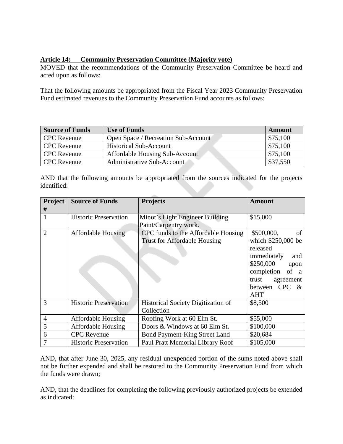## **Article 14: Community Preservation Committee (Majority vote)**

MOVED that the recommendations of the Community Preservation Committee be heard and acted upon as follows:

That the following amounts be appropriated from the Fiscal Year 2023 Community Preservation Fund estimated revenues to the Community Preservation Fund accounts as follows:

| <b>Source of Funds</b> | <b>Use of Funds</b>                   | <b>Amount</b> |
|------------------------|---------------------------------------|---------------|
| <b>CPC</b> Revenue     | Open Space / Recreation Sub-Account   | \$75,100      |
| <b>CPC</b> Revenue     | <b>Historical Sub-Account</b>         | \$75,100      |
| <b>CPC</b> Revenue     | <b>Affordable Housing Sub-Account</b> | \$75,100      |
| <b>CPC</b> Revenue     | Administrative Sub-Account            | \$37,550      |

AND that the following amounts be appropriated from the sources indicated for the projects identified:

| Project<br>#   | <b>Source of Funds</b>       | <b>Projects</b>                                                            | <b>Amount</b>                                                                                                                                                            |
|----------------|------------------------------|----------------------------------------------------------------------------|--------------------------------------------------------------------------------------------------------------------------------------------------------------------------|
| 1              | <b>Historic Preservation</b> | Minot's Light Engineer Building<br>Paint/Carpentry work.                   | \$15,000                                                                                                                                                                 |
| $\overline{2}$ | <b>Affordable Housing</b>    | CPC funds to the Affordable Housing<br><b>Trust for Affordable Housing</b> | \$500,000,<br>of<br>which \$250,000 be<br>released<br>immediately<br>and<br>\$250,000<br>upon<br>completion<br>of a<br>agreement<br>trust<br>between CPC &<br><b>AHT</b> |
| 3              | <b>Historic Preservation</b> | <b>Historical Society Digitization of</b><br>Collection                    | \$8,500                                                                                                                                                                  |
| $\overline{4}$ | Affordable Housing           | Roofing Work at 60 Elm St.                                                 | \$55,000                                                                                                                                                                 |
| 5              | <b>Affordable Housing</b>    | Doors & Windows at 60 Elm St.                                              | \$100,000                                                                                                                                                                |
| 6              | <b>CPC</b> Revenue           | Bond Payment-King Street Land                                              | \$20,684                                                                                                                                                                 |
| 7              | <b>Historic Preservation</b> | Paul Pratt Memorial Library Roof                                           | \$105,000                                                                                                                                                                |

AND, that after June 30, 2025, any residual unexpended portion of the sums noted above shall not be further expended and shall be restored to the Community Preservation Fund from which the funds were drawn;

AND, that the deadlines for completing the following previously authorized projects be extended as indicated: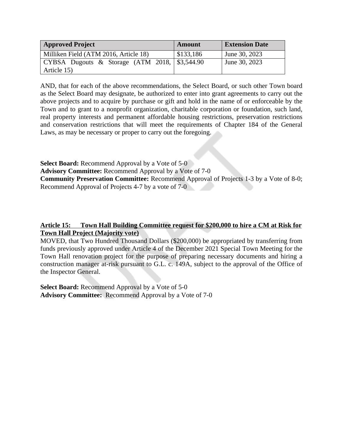| <b>Approved Project</b>                                       | Amount    | <b>Extension Date</b> |
|---------------------------------------------------------------|-----------|-----------------------|
| Milliken Field (ATM 2016, Article 18)                         | \$133,186 | June 30, 2023         |
| $\vert$ CYBSA Dugouts & Storage (ATM 2018, $\vert$ \$3,544.90 |           | June 30, 2023         |
| Article 15)                                                   |           |                       |

AND, that for each of the above recommendations, the Select Board, or such other Town board as the Select Board may designate, be authorized to enter into grant agreements to carry out the above projects and to acquire by purchase or gift and hold in the name of or enforceable by the Town and to grant to a nonprofit organization, charitable corporation or foundation, such land, real property interests and permanent affordable housing restrictions, preservation restrictions and conservation restrictions that will meet the requirements of Chapter 184 of the General Laws, as may be necessary or proper to carry out the foregoing.

**Select Board:** Recommend Approval by a Vote of 5-0 **Advisory Committee:** Recommend Approval by a Vote of 7-0 **Community Preservation Committee:** Recommend Approval of Projects 1-3 by a Vote of 8-0; Recommend Approval of Projects 4-7 by a vote of 7-0

## **Article 15: Town Hall Building Committee request for \$200,000 to hire a CM at Risk for Town Hall Project (Majority vote)**

MOVED, that Two Hundred Thousand Dollars (\$200,000) be appropriated by transferring from funds previously approved under Article 4 of the December 2021 Special Town Meeting for the Town Hall renovation project for the purpose of preparing necessary documents and hiring a construction manager at-risk pursuant to G.L. c. 149A, subject to the approval of the Office of the Inspector General.

**Select Board:** Recommend Approval by a Vote of 5-0 **Advisory Committee:** Recommend Approval by a Vote of 7-0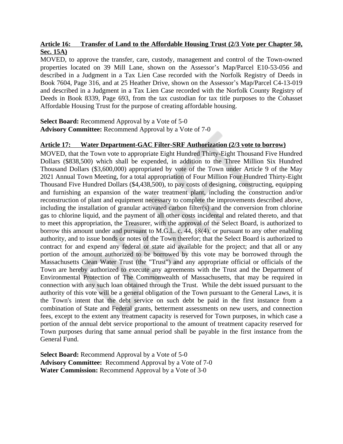## **Article 16: Transfer of Land to the Affordable Housing Trust (2/3 Vote per Chapter 50, Sec. 15A)**

MOVED, to approve the transfer, care, custody, management and control of the Town-owned properties located on 39 Mill Lane, shown on the Assessor's Map/Parcel E10-53-056 and described in a Judgment in a Tax Lien Case recorded with the Norfolk Registry of Deeds in Book 7604, Page 316, and at 25 Heather Drive, shown on the Assessor's Map/Parcel C4-13-019 and described in a Judgment in a Tax Lien Case recorded with the Norfolk County Registry of Deeds in Book 8339, Page 693, from the tax custodian for tax title purposes to the Cohasset Affordable Housing Trust for the purpose of creating affordable housing.

**Select Board:** Recommend Approval by a Vote of 5-0 **Advisory Committee:** Recommend Approval by a Vote of 7-0

#### **Article 17: Water Department-GAC Filter-SRF Authorization (2/3 vote to borrow)**

MOVED, that the Town vote to appropriate Eight Hundred Thirty-Eight Thousand Five Hundred Dollars (\$838,500) which shall be expended, in addition to the Three Million Six Hundred Thousand Dollars (\$3,600,000) appropriated by vote of the Town under Article 9 of the May 2021 Annual Town Meeting, for a total appropriation of Four Million Four Hundred Thirty-Eight Thousand Five Hundred Dollars (\$4,438,500), to pay costs of designing, constructing, equipping and furnishing an expansion of the water treatment plant, including the construction and/or reconstruction of plant and equipment necessary to complete the improvements described above, including the installation of granular activated carbon filter(s) and the conversion from chlorine gas to chlorine liquid, and the payment of all other costs incidental and related thereto, and that to meet this appropriation, the Treasurer, with the approval of the Select Board, is authorized to borrow this amount under and pursuant to M.G.L. c. 44, §8(4), or pursuant to any other enabling authority, and to issue bonds or notes of the Town therefor; that the Select Board is authorized to contract for and expend any federal or state aid available for the project; and that all or any portion of the amount authorized to be borrowed by this vote may be borrowed through the Massachusetts Clean Water Trust (the "Trust") and any appropriate official or officials of the Town are hereby authorized to execute any agreements with the Trust and the Department of Environmental Protection of The Commonwealth of Massachusetts, that may be required in connection with any such loan obtained through the Trust. While the debt issued pursuant to the authority of this vote will be a general obligation of the Town pursuant to the General Laws, it is the Town's intent that the debt service on such debt be paid in the first instance from a combination of State and Federal grants, betterment assessments on new users, and connection fees, except to the extent any treatment capacity is reserved for Town purposes, in which case a portion of the annual debt service proportional to the amount of treatment capacity reserved for Town purposes during that same annual period shall be payable in the first instance from the General Fund.

**Select Board:** Recommend Approval by a Vote of 5-0 **Advisory Committee:** Recommend Approval by a Vote of 7-0 **Water Commission:** Recommend Approval by a Vote of 3-0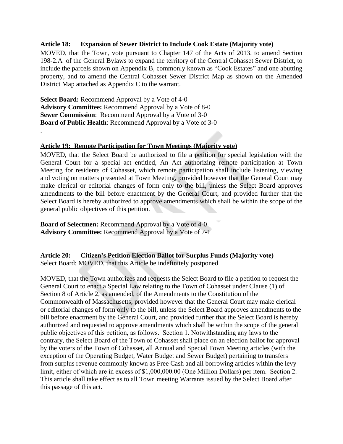#### **Article 18: Expansion of Sewer District to Include Cook Estate (Majority vote)**

MOVED, that the Town, vote pursuant to Chapter 147 of the Acts of 2013, to amend Section 198-2.A of the General Bylaws to expand the territory of the Central Cohasset Sewer District, to include the parcels shown on Appendix B, commonly known as "Cook Estates" and one abutting property, and to amend the Central Cohasset Sewer District Map as shown on the Amended District Map attached as Appendix C to the warrant.

**Select Board:** Recommend Approval by a Vote of 4-0 **Advisory Committee:** Recommend Approval by a Vote of 8-0 **Sewer Commission**: Recommend Approval by a Vote of 3-0 **Board of Public Health**: Recommend Approval by a Vote of 3-0

.

#### **Article 19: Remote Participation for Town Meetings (Majority vote)**

MOVED, that the Select Board be authorized to file a petition for special legislation with the General Court for a special act entitled, An Act authorizing remote participation at Town Meeting for residents of Cohasset, which remote participation shall include listening, viewing and voting on matters presented at Town Meeting, provided however that the General Court may make clerical or editorial changes of form only to the bill, unless the Select Board approves amendments to the bill before enactment by the General Court, and provided further that the Select Board is hereby authorized to approve amendments which shall be within the scope of the general public objectives of this petition.

**Board of Selectmen:** Recommend Approval by a Vote of 4-0 **Advisory Committee:** Recommend Approval by a Vote of 7-1

#### **Article 20: Citizen's Petition Election Ballot for Surplus Funds (Majority vote)** Select Board: MOVED, that this Article be indefinitely postponed

MOVED, that the Town authorizes and requests the Select Board to file a petition to request the General Court to enact a Special Law relating to the Town of Cohasset under Clause (1) of Section 8 of Article 2, as amended, of the Amendments to the Constitution of the Commonwealth of Massachusetts; provided however that the General Court may make clerical or editorial changes of form only to the bill, unless the Select Board approves amendments to the bill before enactment by the General Court, and provided further that the Select Board is hereby authorized and requested to approve amendments which shall be within the scope of the general public objectives of this petition, as follows. Section 1. Notwithstanding any laws to the contrary, the Select Board of the Town of Cohasset shall place on an election ballot for approval by the voters of the Town of Cohasset, all Annual and Special Town Meeting articles (with the exception of the Operating Budget, Water Budget and Sewer Budget) pertaining to transfers from surplus revenue commonly known as Free Cash and all borrowing articles within the levy limit, either of which are in excess of \$1,000,000.00 (One Million Dollars) per item. Section 2. This article shall take effect as to all Town meeting Warrants issued by the Select Board after this passage of this act.